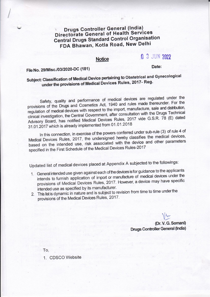# **Drugs Controller General (India) Directorate General of Health Services Central Drugs Standard Control Organisation** FDA Bhawan, Kotla Road, New Delhi

#### **Notice**

# n 3 JUN 2022

File No. 29/Misc./03/2020-DC (181)

Date:

# Subject: Classification of Medical Device pertaining to Obstetrical and Gynecological under the provisions of Medical Devices Rules, 2017- Reg.

Safety, quality and performance of medical devices are regulated under the provisions of the Drugs and Cosmetics Act, 1940 and rules made thereunder. For the regulation of medical devices with respect to the import, manufacture, sale and distribution, clinical investigation, the Central Government, after consultation with the Drugs Technical Advisory Board, has notified Medical Devices Rules, 2017 vide G.S.R. 78 (E) dated 31.01.2017 which is already implemented from 01.01.2018

In this connection, in exercise of the powers conferred under sub-rule (3) of rule 4 of Medical Devices Rules, 2017, the undersigned hereby classifies the medical devices, based on the intended use, risk associated with the device and other parameters specified in the First Schedule of the Medical Devices Rules-2017

Updated list of medical devices placed at Appendix A subjected to the followings:

- 1. General intended use given against each of the devices is for guidance to the applicants intends to furnish application of import or manufacture of medical devices under the provisions of Medical Devices Rules, 2017. However, a device may have specific intended use as specified by its manufacturer.
- 2. This list is dynamic in nature and is subject to revision from time to time under the provisions of the Medical Devices Rules, 2017.

(Dr. V. G. Somani) **Drugs Controller General (India)** 

To,

1. CDSCO Website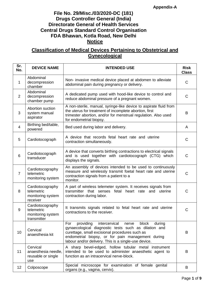### **File No. 29/Misc./03/2020-DC (181) Drugs Controller General (India) Directorate General of Health Services Central Drugs Standard Control Organisation FDA Bhawan, Kotla Road, New Delhi Notice**

## **Classification of Medical Devices Pertaining to Obstetrical and Gynecological**

| Sr.<br>No.     | <b>DEVICE NAME</b>                                                 | <b>INTENDED USE</b>                                                                                                                                                                                                                                                                  | <b>Risk</b><br><b>Class</b> |
|----------------|--------------------------------------------------------------------|--------------------------------------------------------------------------------------------------------------------------------------------------------------------------------------------------------------------------------------------------------------------------------------|-----------------------------|
| 1              | Abdominal<br>decompression<br>chamber                              | Non- invasive medical device placed at abdomen to alleviate<br>abdominal pain during pregnancy or delivery.                                                                                                                                                                          | $\mathsf{C}$                |
| 2              | Abdominal<br>decompression<br>chamber pump                         | A dedicated pump used with hood-like device to control and<br>reduce abdominal pressure of a pregnant women.                                                                                                                                                                         | C                           |
| 3              | Abortion suction<br>system manual<br>aspirator                     | A non-sterile, manual, syringe-like device to aspirate fluid from<br>the uterus for treatment of incomplete abortion, first<br>trimester abortion, and/or for menstrual regulation. Also used<br>for endometrial biopsy.                                                             | B                           |
| $\overline{4}$ | Birthing bed/table,<br>powered                                     | Bed used during labor and delivery.                                                                                                                                                                                                                                                  | A                           |
| 5              | Cardiotocograph                                                    | A device that records fetal heart rate and uterine<br>contraction simultaneously.                                                                                                                                                                                                    | C                           |
| 6              | Cardiotocograph<br>transducer                                      | A device that converts birthing contractions to electrical signals<br>and is used together with cardiotocograph (CTG) which<br>displays the signals.                                                                                                                                 | $\mathsf{C}$                |
| $\overline{7}$ | Cardiotocography<br>telemetric<br>monitoring system                | An assembly of devices intended to be used to continuously<br>measure and wirelessly transmit foetal heart rate and uterine<br>contraction signals from a patient to a<br>monitor.                                                                                                   | $\mathsf{C}$                |
| 8              | Cardiotocography<br>telemetric<br>monitoring system<br>receiver    | A part of wireless telemeter system. It receives signals from<br>transmitter that senses fetal heart rate and<br>uterine<br>contraction during labor.                                                                                                                                | $\mathsf{C}$                |
| 9              | Cardiotocography<br>telemetric<br>monitoring system<br>transmitter | It transmits signals related to fetal heart rate and uterine<br>contractions to the receiver.                                                                                                                                                                                        | C                           |
| 10             | Cervical<br>anaesthesia kit                                        | providing<br>intercervical<br>block<br>For<br>nerve<br>during<br>gynaecological diagnostic tests such as dilation and<br>curettage, small excisional procedures such as<br>endometrial biopsy, or for pain management during<br>labour and/or delivery. This is a single-use device. | B                           |
| 11             | Cervical<br>anaesthesia needle.<br>reusable or single<br>use       | A sharp bevel-edged, hollow tubular metal instrument<br>intended to be used to administer anaesthetic agent to<br>function as an intracervical nerve-block.                                                                                                                          | B                           |
| 12             | Colposcope                                                         | Special microscope for examination of female genital<br>organs (e.g., vagina, cervix).                                                                                                                                                                                               | B                           |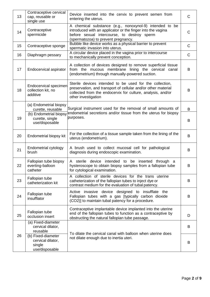| 13 | Contraceptive cervical<br>cap, reusable or<br>single use            | Device inserted into the cervix to prevent semen from<br>entering the uterus.                                                                                                                                  | C            |
|----|---------------------------------------------------------------------|----------------------------------------------------------------------------------------------------------------------------------------------------------------------------------------------------------------|--------------|
| 14 | Contraceptive<br>spermicide                                         | A chemical substance (e.g., nonoxynol-9) intended to be<br>introduced with an applicator or the finger into the vagina<br>before sexual intercourse, to destroy sperm<br>(spermatozoa) to prevent pregnancy.   | $\mathsf C$  |
| 15 | Contraceptive sponge                                                | Bubble like device works as a physical barrier to prevent<br>spermatic invasion into uterus.                                                                                                                   | C            |
| 16 | Diaphragm pessary                                                   | A circular device placed in the vagina prior to intercourse<br>to mechanically prevent conception.                                                                                                             | $\mathsf{C}$ |
| 17 | Endocervical aspirator                                              | A collection of devices designed to remove superficial tissue<br>from the mucous membrane lining the cervical canal<br>(endometrium) through manually-powered suction.                                         | B            |
| 18 | Endocervical specimen<br>collection kit, no<br>additive             | Sterile devices intended to be used for the collection,<br>preservation, and transport of cellular and/or other material<br>collected from the endocervix for culture, analysis, and/or<br>other investigation | B            |
|    | (a) Endometrial biopsy<br>curette, reusable                         | Surgical instrument used for the removal of small amounts of                                                                                                                                                   | B            |
| 19 | (b) Endometrial biopsy<br>curette, single<br>use/disposable         | endometrial secretions and/or tissue from the uterus for biopsy<br>purposes.                                                                                                                                   | B            |
| 20 | Endometrial biopsy kit                                              | For the collection of a tissue sample taken from the lining of the<br>uterus (endometrium).                                                                                                                    | B            |
| 21 | Endometrial cytology<br>brush                                       | A brush used to collect mucosal cell for pathological<br>diagnosis during endoscopic examination.                                                                                                              | B            |
| 22 | Fallopian tube biopsy<br>everting-balloon<br>catheter               | sterile device intended to be inserted through a<br>A<br>hysteroscope to obtain biopsy samples from a fallopian tube<br>for cytological examination.                                                           | B            |
| 23 | Fallopian tube<br>catheterization kit                               | A collection of sterile devices for the trans uterine<br>catheterization of the fallopian tubes to inject dye or<br>contrast medium for the evaluation of tubal patency.                                       | B            |
| 24 | Fallopian tube<br>insufflator                                       | Active invasive device designed to insufflate the<br>Fallopian tubes with a gas [typically carbon dioxide<br>(CO2)] to maintain tubal patency for a procedure.                                                 | B            |
| 25 | Fallopian tube<br>occlusion insert                                  | Contraceptive implantable device implanted into the uterine<br>end of the fallopian tubes to function as a contraceptive by<br>obstructing the natural fallopian tube passage.                                 | D            |
|    | (a) Fixed-diameter<br>cervical dilator,<br>reusable                 |                                                                                                                                                                                                                | B            |
| 26 | (b) Fixed-diameter<br>cervical dilator,<br>single<br>use/disposable | To dilate the cervical canal with balloon when uterine does<br>not dilate enough due to inertia uteri.                                                                                                         | B            |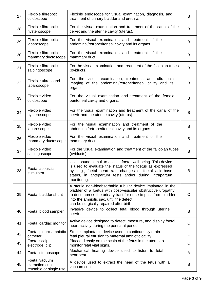| 27 | Flexible fibreoptic<br>culdoscope                          | Flexible endoscope for visual examination, diagnosis, and<br>treatment of urinary bladder and urethra.                                                                                                                                                                              | B            |
|----|------------------------------------------------------------|-------------------------------------------------------------------------------------------------------------------------------------------------------------------------------------------------------------------------------------------------------------------------------------|--------------|
| 28 | Flexible fibreoptic<br>hysteroscope                        | For the visual examination and treatment of the canal of the<br>cervix and the uterine cavity (uterus).                                                                                                                                                                             | B            |
| 29 | Flexible fibreoptic<br>laparoscope                         | For the visual examination and treatment of the<br>abdominal/retroperitoneal cavity and its organs                                                                                                                                                                                  | B            |
| 30 | Flexible fibreoptic<br>mammary ductoscope                  | For the visual examination and treatment of the<br>mammary duct.                                                                                                                                                                                                                    | B            |
| 31 | Flexible fibreoptic<br>salpingoscope                       | For the visual examination and treatment of the fallopian tubes<br>(oviducts).                                                                                                                                                                                                      | B            |
| 32 | Flexible ultrasound<br>laparoscope                         | For the visual examination, treatment, and ultrasonic<br>imaging of the abdominal/retroperitoneal cavity and its<br>organs.                                                                                                                                                         | B            |
| 33 | Flexible video<br>culdoscope                               | For the visual examination and treatment of the female<br>peritoneal cavity and organs.                                                                                                                                                                                             | B            |
| 34 | Flexible video<br>hysteroscope                             | For the visual examination and treatment of the canal of the<br>cervix and the uterine cavity (uterus).                                                                                                                                                                             | B            |
| 35 | Flexible video<br>laparoscope                              | For the visual examination and treatment of the<br>abdominal/retroperitoneal cavity and its organs.                                                                                                                                                                                 | B            |
| 36 | Flexible video<br>mammary ductoscope                       | For the visual examination and treatment of the<br>mammary duct.                                                                                                                                                                                                                    | B            |
| 37 | Flexible video<br>salpingoscope                            | For the visual examination and treatment of the fallopian tubes<br>(oviducts).                                                                                                                                                                                                      | B            |
| 38 | Foetal acoustic<br>stimulator                              | Uses sound stimuli to assess foetal well-being. This device<br>is used to evaluate the status of the foetus as expressed<br>by, e.g., foetal heart rate changes or foetal acid-base<br>status, in antepartum tests and/or during intrapartum<br>monitoring.                         | B            |
| 39 | Foetal bladder shunt                                       | A sterile non-bioabsorbable tubular device implanted in the<br>bladder of a foetus with post-vesicular obstructive uropathy,<br>to decompress the urinary tract for urine to pass from bladder<br>into the amniotic sac, until the defect<br>can be surgically repaired after birth | C            |
| 40 | Foetal blood sampler                                       | Invasive device to collect fetal blood through uterine<br>cervix.                                                                                                                                                                                                                   | B            |
| 41 | Foetal cardiac monitor                                     | Active device designed to detect, measure, and display foetal<br>heart activity during the perinatal period                                                                                                                                                                         | $\mathsf{C}$ |
| 42 | Foetal pleuro-amniotic<br>catheter                         | Sterile implantable device used to continuously drain<br>fetal pleural effusion to maternal amniotic cavity.                                                                                                                                                                        | C            |
| 43 | Foetal scalp<br>electrode, clip                            | Placed directly on the scalp of the fetus in the uterus to<br>monitor fetal vital signs.                                                                                                                                                                                            | C            |
| 44 | Foetal stethoscope                                         | Mechanical hearing device used to listen to fetal<br>heartbeat.                                                                                                                                                                                                                     | A            |
| 45 | Foetal vacuum<br>extraction cup,<br>reusable or single use | A device used to extract the head of the fetus with a<br>vacuum cup.                                                                                                                                                                                                                | B            |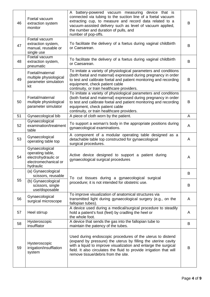| 46 | Foetal vacuum<br>extraction system<br>monitor                                                  | A battery-powered vacuum measuring device that is<br>connected via tubing to the suction line of a foetal vacuum<br>extracting cup, to measure and record data related to a<br>vacuum-assisted delivery such as level of vacuum applied,<br>the number and duration of pulls, and<br>number of pop-offs.     | B |
|----|------------------------------------------------------------------------------------------------|--------------------------------------------------------------------------------------------------------------------------------------------------------------------------------------------------------------------------------------------------------------------------------------------------------------|---|
| 47 | Foetal vacuum<br>extraction system,<br>manual, reusable or<br>single use                       | To facilitate the delivery of a foetus during vaginal childbirth<br>or Caesarean.                                                                                                                                                                                                                            | B |
| 48 | Foetal vacuum<br>extraction system,<br>pneumatic                                               | To facilitate the delivery of a foetus during vaginal childbirth<br>or Caesarean.                                                                                                                                                                                                                            | B |
| 49 | Foetal/maternal<br>multiple physiological<br>parameter simulation<br>kit                       | To imitate a variety of physiological parameters and conditions<br>(both foetal and maternal) expressed during pregnancy in order<br>to test and calibrate foetal and patient monitoring and recording<br>equipment, check patient cable<br>continuity, or train healthcare providers.                       | B |
| 50 | Foetal/maternal<br>multiple physiological<br>parameter simulator                               | To imitate a variety of physiological parameters and conditions<br>(both foetal and maternal) expressed during pregnancy in order<br>to test and calibrate foetal and patient monitoring and recording<br>equipment, check patient cable<br>continuity, or train healthcare providers.                       | B |
| 51 | Gynaecological bib                                                                             | A piece of cloth worn by the patient.                                                                                                                                                                                                                                                                        | A |
| 52 | Gynaecological<br>examination/treatment<br>table                                               | To support a woman's body in the appropriate positions during<br>gynaecological examinations.                                                                                                                                                                                                                | A |
| 53 | Gynaecological<br>operating table top                                                          | A component of a modular operating table designed as a<br>detachable table top constructed for gynaecological<br>surgical procedures.                                                                                                                                                                        | A |
| 54 | Gynaecological<br>operating table,<br>electrohydraulic or<br>electromechanical or<br>hydraulic | Active device designed to support a patient during<br>gynaecological surgical procedures                                                                                                                                                                                                                     | A |
|    | (a) Gynaecological<br>scissors, reusable                                                       | To cut tissues during a gynaecological surgical                                                                                                                                                                                                                                                              | B |
| 55 | (b) Gynaecological<br>scissors, single<br>use/disposable                                       | procedure; it is not intended for obstetric use.                                                                                                                                                                                                                                                             | B |
| 56 | Gynaecological<br>surgical microscope                                                          | To improve visualization of anatomical structures via<br>transmitted light during gynaecological surgery (e.g., on the<br>fallopian tubes).                                                                                                                                                                  | A |
| 57 | Heel stirrup                                                                                   | A device used during a medical/surgical procedure to steadily<br>hold a patient's foot (feet) by cradling the heel or<br>the whole foot.                                                                                                                                                                     | A |
| 58 | Hysteroscopic<br>insufflator                                                                   | A device that sends the gas into the fallopian tube to<br>maintain the patency of the tubes.                                                                                                                                                                                                                 | B |
| 59 | Hysteroscopic<br>irrigation/insufflation<br>system                                             | Used during endoscopic procedures of the uterus to distend<br>(expand by pressure) the uterus by filling the uterine cavity<br>with a liquid to improve visualization and enlarge the surgical<br>field. It also circulates the fluid to provide irrigation that will<br>remove tissue/debris from the site. | B |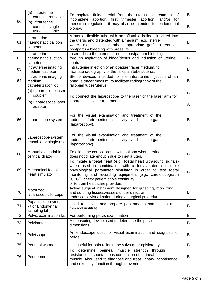|    | (a) Intrauterine<br>To aspirate fluid/material from the uterus for treatment of<br>cannula, reusable<br>incomplete abortion, first trimester abortion, and/or for | B                                                                                                                                                                                                                                                                                                                                       |   |
|----|-------------------------------------------------------------------------------------------------------------------------------------------------------------------|-----------------------------------------------------------------------------------------------------------------------------------------------------------------------------------------------------------------------------------------------------------------------------------------------------------------------------------------|---|
| 60 | (b) Intrauterine<br>cannula, single<br>use/disposable                                                                                                             | menstrual regulation; it may also be intended for endometrial<br>biopsy.                                                                                                                                                                                                                                                                | B |
| 61 | Intrauterine<br>haemostatic balloon<br>catheter                                                                                                                   | A sterile, flexible tube with an inflatable balloon inserted into<br>the uterus and distended with a medium (e.g., sterile<br>water, medical air or other appropriate gas) to reduce<br>postpartum bleeding with pressure.                                                                                                              | B |
| 62 | Intrauterine<br>haemostatic suction<br>catheter                                                                                                                   | Inserted into the uterus to reduce postpartum bleeding<br>through aspiration of blood/debris and induction of uterine<br>contractions.                                                                                                                                                                                                  | B |
| 63 | Intrauterine imaging<br>medium catheter                                                                                                                           | Intrauterine injection of an opaque tracer medium, to<br>facilitate radiography of the fallopian tubes/uterus.                                                                                                                                                                                                                          | B |
| 64 | Intrauterine imaging<br>medium<br>catheterization kit                                                                                                             | Sterile devices intended for the intrauterine injection of an<br>opaque tracer medium, to facilitate radiography of the<br>fallopian tubes/uterus.                                                                                                                                                                                      | B |
| 65 | (a) Laparoscope laser<br>coupler                                                                                                                                  | To connect the laparoscope to the laser or the laser arm for                                                                                                                                                                                                                                                                            | B |
|    | (b) Laparoscope laser<br>adaptor                                                                                                                                  | laparoscopic laser treatment.                                                                                                                                                                                                                                                                                                           | A |
| 66 | Laparoscope system                                                                                                                                                | For the visual examination and treatment of the<br>abdominal/retroperitoneal cavity and its<br>organs<br>(laparoscopy).                                                                                                                                                                                                                 | B |
| 67 | Laparoscope system,<br>reusable or single use                                                                                                                     | For the visual examination and treatment of the<br>abdominal/retroperitoneal cavity and its<br>organs<br>(laparoscopy).                                                                                                                                                                                                                 | B |
| 68 | Manual expandable<br>cervical dilator                                                                                                                             | To dilate the cervical canal with balloon when uterine<br>does not dilate enough due to inertia uteri.                                                                                                                                                                                                                                  | B |
| 69 | Mechanical foetal<br>heart simulator                                                                                                                              | To imitate a foetal heart (e.g., foetal heart ultrasound signals)<br>when used in combination with a foetal/maternal multiple<br>physiological parameter simulator in order to test foetal<br>monitoring and recording equipment [e.g., cardiotocograph<br>(CTG)], check patient cable continuity,<br>or to train healthcare providers. | B |
| 70 | Motorized<br>laparoscopic forceps                                                                                                                                 | Active surgical instrument designed for grasping, mobilizing,<br>and suturing tissues/vessels under direct or<br>endoscopic visualization during a surgical procedure.                                                                                                                                                                  | B |
| 71 | Papanicolaou smear<br>kit or Endometrial<br>sampling kit                                                                                                          | Used to collect and prepare pap smears samples in a<br>medical institute.                                                                                                                                                                                                                                                               | B |
| 72 | Pelvic examination kit                                                                                                                                            | For performing pelvic examination                                                                                                                                                                                                                                                                                                       | B |
| 73 | Pelvimeter                                                                                                                                                        | A measuring device used to determine the pelvic<br>dimensions.                                                                                                                                                                                                                                                                          | B |
| 74 | Pelviscope                                                                                                                                                        | An endoscope used for visual examination and diagnosis of<br>pelvis.                                                                                                                                                                                                                                                                    | B |
| 75 | Perineal warmer                                                                                                                                                   | it is useful for pain relief in the vulva after episiotomy.                                                                                                                                                                                                                                                                             | B |
| 76 | Perineometer                                                                                                                                                      | determine perineal<br>muscle strength<br>To<br>through<br>resistance to spontaneous contraction of perineal<br>muscle. Also used to diagnose and treat urinary incontinence<br>and sexual dysfunction through movement.                                                                                                                 | B |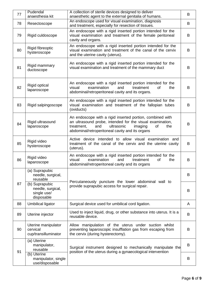| 77 | Pudendal<br>anaesthesia kit                                      | A collection of sterile devices designed to deliver<br>anaesthetic agent to the external genitalia of humans.                                                                                                                        | B |
|----|------------------------------------------------------------------|--------------------------------------------------------------------------------------------------------------------------------------------------------------------------------------------------------------------------------------|---|
| 78 | Resectoscope                                                     | An endoscope used for visual examination, diagnosis<br>and treatment, especially for resection of tissues.                                                                                                                           | B |
| 79 | Rigid culdoscope                                                 | An endoscope with a rigid inserted portion intended for the<br>visual examination and treatment of the female peritoneal<br>cavity and organs.                                                                                       | B |
| 80 | Rigid fibreoptic<br>hysteroscope                                 | An endoscope with a rigid inserted portion intended for the<br>visual examination and treatment of the canal of the cervix<br>and the uterine cavity (uterus).                                                                       | B |
| 81 | Rigid mammary<br>ductoscope                                      | An endoscope with a rigid inserted portion intended for the<br>visual examination and treatment of the mammary duct                                                                                                                  | B |
| 82 | <b>Rigid optical</b><br>laparoscope                              | An endoscope with a rigid inserted portion intended for the<br>examination<br>visual<br>and<br>treatment<br><b>of</b><br>the<br>abdominal/retroperitoneal cavity and its organs.                                                     | B |
| 83 | Rigid salpingoscope                                              | An endoscope with a rigid inserted portion intended for the<br>visual examination and treatment of the fallopian tubes<br>(oviducts)                                                                                                 | B |
| 84 | Rigid ultrasound<br>laparoscope                                  | An endoscope with a rigid inserted portion, combined with<br>an ultrasound probe, intended for the visual examination,<br>ultrasonic<br>treatment,<br>and<br>imaging<br>of<br>the<br>abdominal/retroperitoneal cavity and its organs | B |
| 85 | Rigid video<br>hysteroscope                                      | Active device intended to allow visual examination and<br>treatment of the canal of the cervix and the uterine cavity<br>(uterus).                                                                                                   | B |
| 86 | Rigid video<br>laparoscope                                       | An endoscope with a rigid inserted portion intended for the<br>examination<br>visual<br>and<br>treatment<br>of<br>the<br>abdominal/retroperitoneal cavity and its organs                                                             | B |
|    | (a) Suprapubic<br>needle, surgical,<br>reusable                  | Percutaneously puncture the lower abdominal wall to                                                                                                                                                                                  | B |
| 87 | (b) Suprapubic<br>needle, surgical,<br>single use/<br>disposable | provide suprapubic access for surgical repair.                                                                                                                                                                                       | B |
| 88 | Umbilical ligator                                                | Surgical device used for umbilical cord ligation.                                                                                                                                                                                    | A |
| 89 | Uterine injector                                                 | Used to inject liquid, drug, or other substance into uterus. It is a<br>reusable device.                                                                                                                                             | B |
| 90 | Uterine manipulator<br>cervical<br>cup/transilluminator          | Allow manipulation of the uterus under suction whilst<br>preventing laparoscopic insufflation gas from escaping from<br>the cervix (during hysterectomy).                                                                            | B |
| 91 | (a) Uterine<br>manipulator,<br>reusable                          | Surgical instrument designed to mechanically manipulate the<br>position of the uterus during a gynaecological intervention                                                                                                           | B |
|    | (b) Uterine<br>manipulator, single<br>use/disposable             |                                                                                                                                                                                                                                      | B |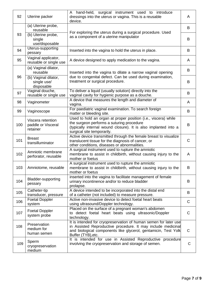| 92  | Uterine packer                                      | A hand-held, surgical instrument used to introduce<br>dressings into the uterus or vagina. This is a reusable<br>device.                                                                                                 | A           |
|-----|-----------------------------------------------------|--------------------------------------------------------------------------------------------------------------------------------------------------------------------------------------------------------------------------|-------------|
|     | (a) Uterine probe,<br>reusable                      | For exploring the uterus during a surgical procedure. Used                                                                                                                                                               | B           |
| 93  | (b) Uterine probe,<br>single<br>use/disposable      | as a component of a uterine manipulator                                                                                                                                                                                  | B           |
| 94  | Uterus-supporting<br>pessary                        | Inserted into the vagina to hold the uterus in place.                                                                                                                                                                    | B           |
| 95  | Vaginal applicator,<br>reusable or single use       | A device designed to apply medication to the vagina.                                                                                                                                                                     | A           |
|     | (a) Vaginal dilator,<br>reusable                    | Inserted into the vagina to dilate a narrow vaginal opening                                                                                                                                                              | B           |
| 96  | (b) Vaginal dilator,<br>single use/<br>disposable   | due to congenital defect. Can be used during examination,<br>treatment or surgical procedure.                                                                                                                            | B           |
| 97  | Vaginal douche,<br>reusable or single use           | To deliver a liquid (usually solution) directly into the<br>vaginal cavity for hygienic purpose as a douche.                                                                                                             | B           |
| 98  | Vaginometer                                         | A device that measures the length and diameter of<br>vagina.                                                                                                                                                             | A           |
| 99  | Vaginoscope                                         | For paediatric vaginal examination. To search foreign<br>matter or bleeding site.                                                                                                                                        | B           |
| 100 | Viscera retention<br>paddle or Visceral<br>retainer | Used to hold an organ at proper position (i.e., viscera) while<br>the surgeon performs a suturing procedure<br>(typically internal wound closure). It is also implanted into a<br>surgical site temporarily.             | B           |
| 101 | <b>Breast</b><br>transilluminator                   | Active device transmitted through the female breast to visualize<br>translucent tissue for the diagnosis of cancer, or<br>other conditions, diseases or abnormalities.                                                   | $\mathsf C$ |
| 102 | Amniotic membrane<br>perforator, reusable           | A surgical instrument used to rupture the amniotic<br>membrane to assist in childbirth, without causing injury to the<br>mother or foetus                                                                                | A           |
| 103 | Amniotome, reusable                                 | A surgical instrument used to rupture the amniotic<br>membrane to assist in childbirth, without causing injury to the<br>mother or foetus                                                                                | В           |
| 104 | <b>Bladder-supporting</b><br>pessary                | inserted into the vagina to facilitate management of female<br>urinary incontinence and/or to reduce bladder<br>prolapse.                                                                                                | B           |
| 105 | Catheter-tip<br>transducer, pressure                | A device intended to be incorporated into the distal end<br>of a catheter (not included) to measure pressure.                                                                                                            | B           |
| 106 | <b>Foetal Doppler</b><br>system                     | Active non-invasive device to detect foetal heart beats<br>using ultrasound/Doppler technology.                                                                                                                          | C           |
| 107 | <b>Foetal Doppler</b><br>system probe               | Placed on the surface of a pregnant woman's abdomen<br>to detect foetal heart beats using ultrasonic/Doppler<br>technology.                                                                                              | C           |
| 108 | Preservation<br>medium for<br>human semen           | It is intended for cryopreservation of human semen for later use<br>in Assisted Reproductive procedure. It may include medicinal<br>and biological components like glycerol, gentamicin, Test Yolk<br>Buffer (TYB), etc. | C           |
| 109 | Sperm<br>cryopreservation<br>medium                 | It is intended for use in Assisted Reproductive procedure<br>involving the cryopreservation and storage of semen.                                                                                                        | C           |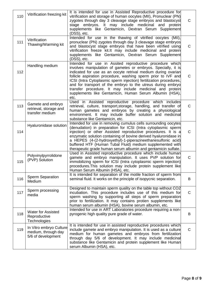| 110 | Vitrification freezing kit                                           | It is intended for use in Assisted Reproductive procedure for<br>vitrification and storage of human oocytes (MII), Pronuclear (PN)<br>zygotes through day 3 cleavage stage embryos and blastocyst<br>embryos. It may include medicinal and<br>stage<br>protein<br>supplements like Gentamicin, Dextran Serum Supplement<br>(DSS), etc.                                                                                                                                                                                          | $\mathsf{C}$ |
|-----|----------------------------------------------------------------------|---------------------------------------------------------------------------------------------------------------------------------------------------------------------------------------------------------------------------------------------------------------------------------------------------------------------------------------------------------------------------------------------------------------------------------------------------------------------------------------------------------------------------------|--------------|
| 111 | Vitrification<br>Thawing/Warming kit                                 | Intended for use in the thawing of vitrified oocytes (MII),<br>pronuclear (PN) zygotes through day 3 cleavage stage embryos<br>and blastocyst stage embryos that have been vitrified using<br>vitrification freeze kit. It may include medicinal and protein<br>supplements like Gentamicin, Dextran Serum Supplement<br>(DSS), etc.                                                                                                                                                                                            | $\mathsf{C}$ |
| 112 | Handling medium                                                      | Intended for use in Assited reproductive procedure which<br>involves manipulation of gametes or embryos. Specially, it is<br>indicated for use as an oocyte retrival medium during ovarian<br>follicle aspiration procedure, washing sperm prior to IVF and<br>ICSI (Intra Cytoplasmic sperm injection) fertilization procedures,<br>and for transport of the embryo to the utreus during embryo<br>transfer procedure. It may include medicinal and protein<br>supplements like Gentamicin, Human Serum Albumin (HSA),<br>etc. | $\mathsf{C}$ |
| 113 | Gamete and embryo<br>retrieval, storage and<br>transfer medium       | Used in Assisted reproductive procedure which includes<br>retrieval, culture, transport, storage, handling, and transfer of<br>human gametes and embryos by creating a physiological<br>environment. It may include buffer solution and medicinal<br>substance like Gentamicin, etc.                                                                                                                                                                                                                                            | $\mathsf{C}$ |
| 114 | Hyaluronidase solution                                               | Intended for use in removing cumulus cells surrounding oocytes<br>(denudation) in preparation for ICSI (Intra cytoplasmic sperm<br>injection) or other Assisted reproductive procedures. It is a<br>enzymatic solution containing of bovine derived hyaluronidase in<br>a HEPES (4-(2-hydroxyethyl)-1-piperazineethanesulfonic acid)<br>buffered HTF (Human Tubal Fluid) medium supplemented with<br>therapeutic grade human serum albumin and gentamicin sulfate.                                                              | $\mathsf{C}$ |
| 115 | Polyvinylpyrrolidone<br>(PVP) Solution                               | Used in Assisted reproductive procedure which include human<br>gamete and embryo manipulation. It uses PVP solution for<br>immobilizing sperm for ICSI (Intra cytoplasmic sperm injection)<br>procedures. This solution may include protein supplement like<br>Human Serum Albumin (HSA), etc.                                                                                                                                                                                                                                  | $\mathsf{C}$ |
| 116 | <b>Sperm Separation</b><br>Medium                                    | It is intended for separation of the motile fraction of sperm from<br>seminal fluid. It works on the principle of isopycnic separation.                                                                                                                                                                                                                                                                                                                                                                                         | B            |
| 117 | Sperm processing<br>media                                            | Designed to maintain sperm quality on the table top without CO2<br>incubation. This procedure includes use of this medium for<br>sperm washing by supporting all steps of sperm preparation<br>prior to fertilization. It may contains protien supplements like<br>human serum albumin (HSA), bovine serum albumin, etc.                                                                                                                                                                                                        | $\mathsf{C}$ |
| 118 | <b>Water for Assisted</b><br>Reproductive<br>Technologies            | Intended for use in ART Laboratories procedure requiring a non-<br>pyrogenic high quality pure grade of water.                                                                                                                                                                                                                                                                                                                                                                                                                  | B            |
| 119 | In Vitro embryo Culture<br>medium, through day<br>5/6 of development | It is intended for use in assisted reproductive procedures which<br>include gamete and embryo manipulation. It is used as a culture<br>medium for human gametes and embryos from fertilization<br>through day 5/6 of development. It may include medicinal<br>substance like Gentamicin and protein supplement like Human<br>serum Albumin (HSA), etc.                                                                                                                                                                          | $\mathsf{C}$ |